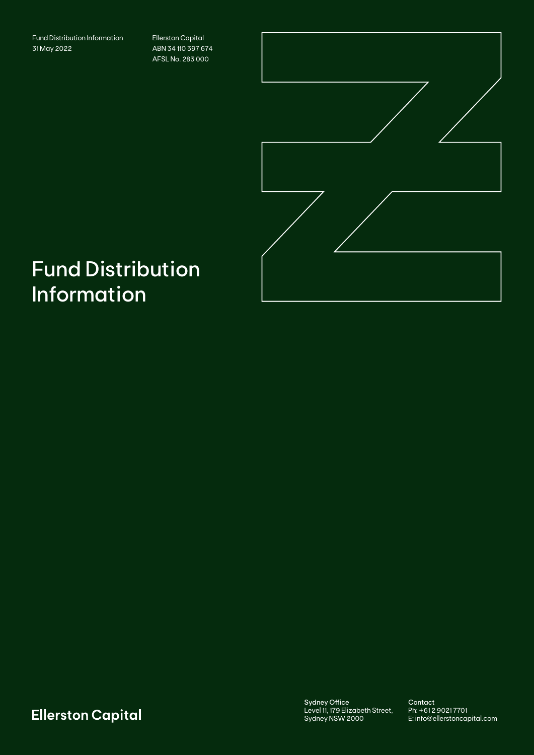Fund Distribution Information 31 May 2022

Ellerston Capital ABN 34 110 397 674 AFSL No. 283 000



# Fund Distribution Information

**Ellerston Capital** 

Sydney Office Level 11, 179 Elizabeth Street, Sydney NSW 2000

Contact Ph: +61 2 9021 7701 E: info@ellerstoncapital.com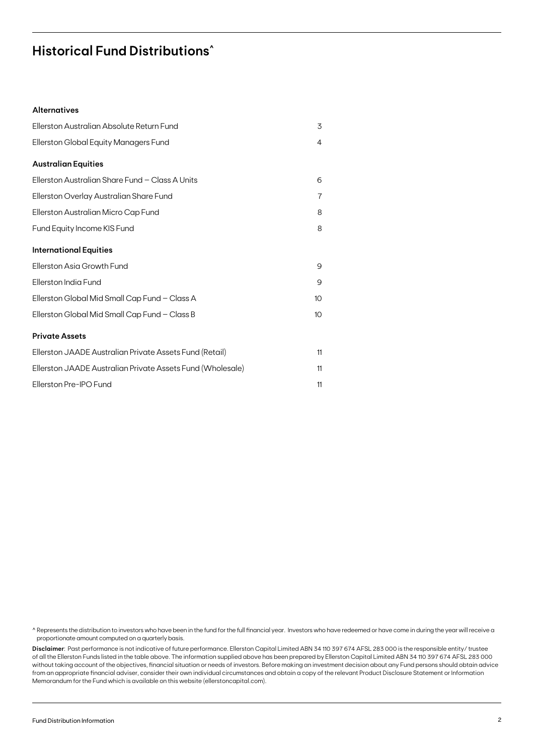### **Historical Fund Distributions^**

#### **Alternatives**

| Ellerston Australian Absolute Return Fund                  | 3              |
|------------------------------------------------------------|----------------|
| Ellerston Global Equity Managers Fund                      | $\overline{4}$ |
| <b>Australian Equities</b>                                 |                |
| Ellerston Australian Share Fund - Class A Units            | 6              |
| Ellerston Overlay Australian Share Fund                    | 7              |
| Ellerston Australian Micro Cap Fund                        | 8              |
| Fund Equity Income KIS Fund                                | 8              |
| <b>International Equities</b>                              |                |
| Ellerston Asia Growth Fund                                 | 9              |
| Ellerston India Fund                                       | 9              |
| Ellerston Global Mid Small Cap Fund - Class A              | 10             |
| Ellerston Global Mid Small Cap Fund - Class B              | 10             |
| <b>Private Assets</b>                                      |                |
| Ellerston JAADE Australian Private Assets Fund (Retail)    | 11             |
| Ellerston JAADE Australian Private Assets Fund (Wholesale) | 11             |
| Ellerston Pre-IPO Fund                                     | 11             |

^ Represents the distribution to investors who have been in the fund for the full financial year. Investors who have redeemed or have come in during the year will receive a proportionate amount computed on a quarterly basis.

**Disclaimer**: Past performance is not indicative of future performance. Ellerston Capital Limited ABN 34 110 397 674 AFSL 283 000 is the responsible entity/ trustee of all the Ellerston Funds listed in the table above. The information supplied above has been prepared by Ellerston Capital Limited ABN 34 110 397 674 AFSL 283 000 without taking account of the objectives, financial situation or needs of investors. Before making an investment decision about any Fund persons should obtain advice from an appropriate financial adviser, consider their own individual circumstances and obtain a copy of the relevant Product Disclosure Statement or Information Memorandum for the Fund which is available on this website (ellerstoncapital.com).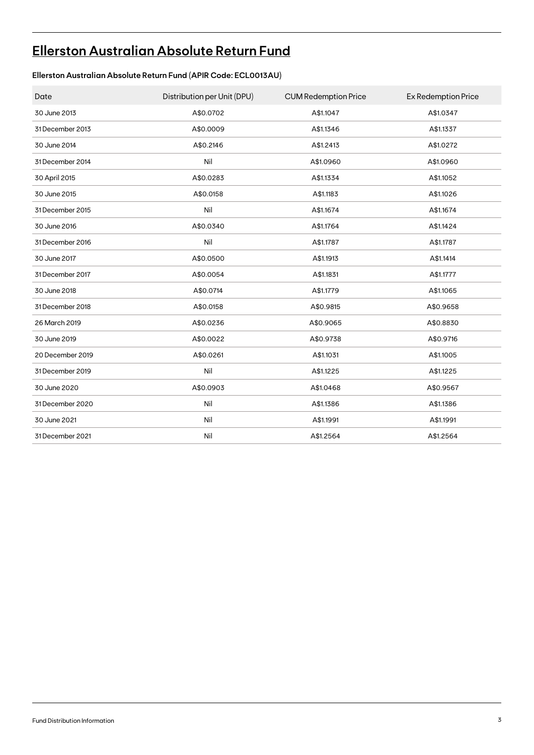# **[Ellerston Australian Absolute Return Fund](https://ellerstoncapital.com/funds/australian-absolute-return-fund/)**

### **Ellerston Australian Absolute Return Fund (APIR Code: ECL0013AU)**

| Date             | Distribution per Unit (DPU) | <b>CUM Redemption Price</b> | <b>Ex Redemption Price</b> |
|------------------|-----------------------------|-----------------------------|----------------------------|
| 30 June 2013     | A\$0.0702                   | A\$1.1047                   | A\$1.0347                  |
| 31 December 2013 | A\$0.0009                   | A\$1.1346                   | A\$1.1337                  |
| 30 June 2014     | A\$0.2146                   | A\$1.2413                   | A\$1.0272                  |
| 31 December 2014 | Nil                         | A\$1.0960                   | A\$1.0960                  |
| 30 April 2015    | A\$0.0283                   | A\$1.1334                   | A\$1.1052                  |
| 30 June 2015     | A\$0.0158                   | A\$1.1183                   | A\$1.1026                  |
| 31 December 2015 | Nil                         | A\$1.1674                   | A\$1.1674                  |
| 30 June 2016     | A\$0.0340                   | A\$1.1764                   | A\$1.1424                  |
| 31 December 2016 | Nil                         | A\$1.1787                   | A\$1.1787                  |
| 30 June 2017     | A\$0.0500                   | A\$1.1913                   | A\$1.1414                  |
| 31 December 2017 | A\$0.0054                   | A\$1.1831                   | A\$1.1777                  |
| 30 June 2018     | A\$0.0714                   | A\$1.1779                   | A\$1.1065                  |
| 31 December 2018 | A\$0.0158                   | A\$0.9815                   | A\$0.9658                  |
| 26 March 2019    | A\$0.0236                   | A\$0.9065                   | A\$0.8830                  |
| 30 June 2019     | A\$0.0022                   | A\$0.9738                   | A\$0.9716                  |
| 20 December 2019 | A\$0.0261                   | A\$1.1031                   | A\$1.1005                  |
| 31 December 2019 | Nil                         | A\$1.1225                   | A\$1.1225                  |
| 30 June 2020     | A\$0.0903                   | A\$1.0468                   | A\$0.9567                  |
| 31 December 2020 | Nil                         | A\$1.1386                   | A\$1.1386                  |
| 30 June 2021     | Nil                         | A\$1.1991                   | A\$1.1991                  |
| 31 December 2021 | Nil                         | A\$1.2564                   | A\$1.2564                  |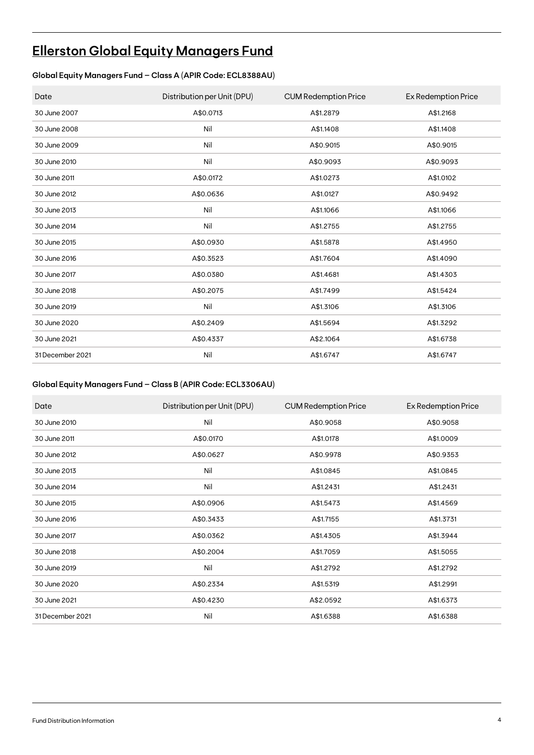# **[Ellerston Global Equity Managers Fund](https://ellerstoncapital.com/funds/global-equity-managers-fund/)**

### **Global Equity Managers Fund – Class A (APIR Code: ECL8388AU)**

| Date             | Distribution per Unit (DPU) | <b>CUM Redemption Price</b> | Ex Redemption Price |
|------------------|-----------------------------|-----------------------------|---------------------|
| 30 June 2007     | A\$0.0713                   | A\$1.2879                   | A\$1.2168           |
| 30 June 2008     | Nil                         | A\$1.1408                   | A\$1.1408           |
| 30 June 2009     | Nil                         | A\$0.9015                   | A\$0.9015           |
| 30 June 2010     | Nil                         | A\$0.9093                   | A\$0.9093           |
| 30 June 2011     | A\$0.0172                   | A\$1.0273                   | A\$1.0102           |
| 30 June 2012     | A\$0.0636                   | A\$1.0127                   | A\$0.9492           |
| 30 June 2013     | Nil                         | A\$1.1066                   | A\$1.1066           |
| 30 June 2014     | Nil                         | A\$1.2755                   | A\$1.2755           |
| 30 June 2015     | A\$0.0930                   | A\$1.5878                   | A\$1.4950           |
| 30 June 2016     | A\$0.3523                   | A\$1.7604                   | A\$1.4090           |
| 30 June 2017     | A\$0.0380                   | A\$1.4681                   | A\$1.4303           |
| 30 June 2018     | A\$0.2075                   | A\$1.7499                   | A\$1.5424           |
| 30 June 2019     | Nil                         | A\$1.3106                   | A\$1.3106           |
| 30 June 2020     | A\$0.2409                   | A\$1.5694                   | A\$1.3292           |
| 30 June 2021     | A\$0.4337                   | A\$2.1064                   | A\$1.6738           |
| 31 December 2021 | Nil                         | A\$1.6747                   | A\$1.6747           |

#### **Global Equity Managers Fund – Class B (APIR Code: ECL3306AU)**

| Date             | Distribution per Unit (DPU) | <b>CUM Redemption Price</b> | Ex Redemption Price |
|------------------|-----------------------------|-----------------------------|---------------------|
| 30 June 2010     | Nil                         | A\$0.9058                   | A\$0.9058           |
| 30 June 2011     | A\$0.0170                   | A\$1.0178                   | A\$1.0009           |
| 30 June 2012     | A\$0.0627                   | A\$0.9978                   | A\$0.9353           |
| 30 June 2013     | Nil                         | A\$1.0845                   | A\$1.0845           |
| 30 June 2014     | Nil                         | A\$1.2431                   | A\$1.2431           |
| 30 June 2015     | A\$0.0906                   | A\$1.5473                   | A\$1.4569           |
| 30 June 2016     | A\$0.3433                   | A\$1.7155                   | A\$1.3731           |
| 30 June 2017     | A\$0.0362                   | A\$1.4305                   | A\$1.3944           |
| 30 June 2018     | A\$0.2004                   | A\$1.7059                   | A\$1.5055           |
| 30 June 2019     | Nil                         | A\$1.2792                   | A\$1.2792           |
| 30 June 2020     | A\$0.2334                   | A\$1.5319                   | A\$1.2991           |
| 30 June 2021     | A\$0.4230                   | A\$2.0592                   | A\$1.6373           |
| 31 December 2021 | Nil                         | A\$1.6388                   | A\$1.6388           |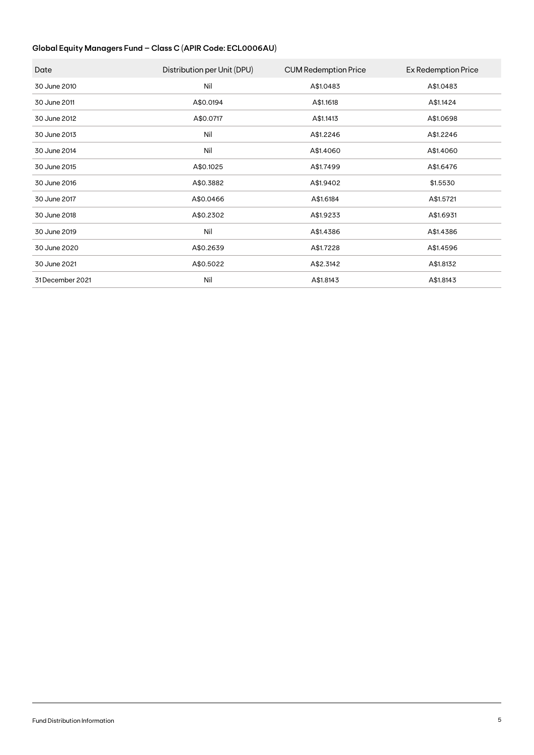#### **Global Equity Managers Fund – Class C (APIR Code: ECL0006AU)**

| Date             | Distribution per Unit (DPU) | <b>CUM Redemption Price</b> | Ex Redemption Price |
|------------------|-----------------------------|-----------------------------|---------------------|
| 30 June 2010     | Nil                         | A\$1.0483                   | A\$1.0483           |
| 30 June 2011     | A\$0.0194                   | A\$1.1618                   | A\$1.1424           |
| 30 June 2012     | A\$0.0717                   | A\$1.1413                   | A\$1.0698           |
| 30 June 2013     | Nil                         | A\$1.2246                   | A\$1.2246           |
| 30 June 2014     | Nil                         | A\$1.4060                   | A\$1.4060           |
| 30 June 2015     | A\$0.1025                   | A\$1.7499                   | A\$1.6476           |
| 30 June 2016     | A\$0.3882                   | A\$1.9402                   | \$1.5530            |
| 30 June 2017     | A\$0.0466                   | A\$1.6184                   | A\$1.5721           |
| 30 June 2018     | A\$0.2302                   | A\$1.9233                   | A\$1.6931           |
| 30 June 2019     | Nil                         | A\$1.4386                   | A\$1.4386           |
| 30 June 2020     | A\$0.2639                   | A\$1.7228                   | A\$1.4596           |
| 30 June 2021     | A\$0.5022                   | A\$2.3142                   | A\$1.8132           |
| 31 December 2021 | Nil                         | A\$1.8143                   | A\$1.8143           |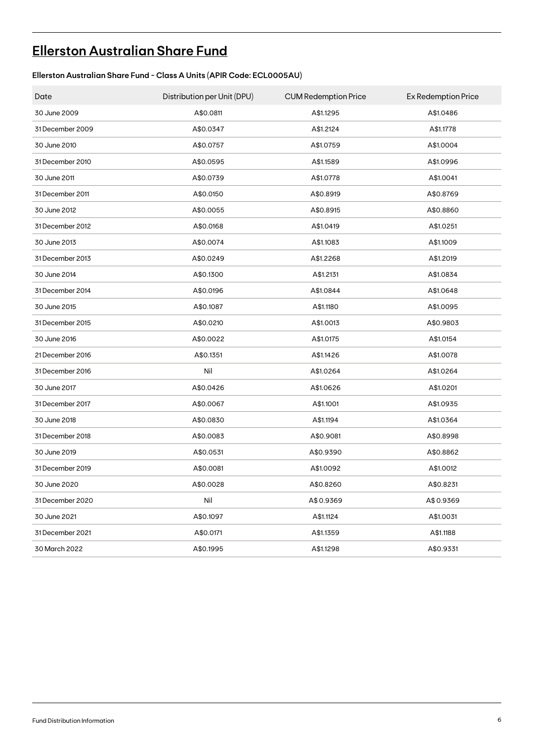# **[Ellerston Australian Share Fund](https://ellerstoncapital.com/funds/australian-share-fund/)**

### **Ellerston Australian Share Fund - Class A Units (APIR Code: ECL0005AU)**

| Date             | Distribution per Unit (DPU) | <b>CUM Redemption Price</b> | Ex Redemption Price |
|------------------|-----------------------------|-----------------------------|---------------------|
| 30 June 2009     | A\$0.0811                   | A\$1.1295                   | A\$1.0486           |
| 31 December 2009 | A\$0.0347                   | A\$1.2124                   | A\$1.1778           |
| 30 June 2010     | A\$0.0757                   | A\$1.0759                   | A\$1.0004           |
| 31 December 2010 | A\$0.0595                   | A\$1.1589                   | A\$1.0996           |
| 30 June 2011     | A\$0.0739                   | A\$1.0778                   | A\$1.0041           |
| 31 December 2011 | A\$0.0150                   | A\$0.8919                   | A\$0.8769           |
| 30 June 2012     | A\$0.0055                   | A\$0.8915                   | A\$0.8860           |
| 31 December 2012 | A\$0.0168                   | A\$1.0419                   | A\$1.0251           |
| 30 June 2013     | A\$0.0074                   | A\$1.1083                   | A\$1.1009           |
| 31 December 2013 | A\$0.0249                   | A\$1.2268                   | A\$1.2019           |
| 30 June 2014     | A\$0.1300                   | A\$1.2131                   | A\$1.0834           |
| 31 December 2014 | A\$0.0196                   | A\$1.0844                   | A\$1.0648           |
| 30 June 2015     | A\$0.1087                   | A\$1.1180                   | A\$1.0095           |
| 31 December 2015 | A\$0.0210                   | A\$1.0013                   | A\$0.9803           |
| 30 June 2016     | A\$0.0022                   | A\$1.0175                   | A\$1.0154           |
| 21 December 2016 | A\$0.1351                   | A\$1.1426                   | A\$1.0078           |
| 31 December 2016 | Nil                         | A\$1.0264                   | A\$1.0264           |
| 30 June 2017     | A\$0.0426                   | A\$1.0626                   | A\$1.0201           |
| 31 December 2017 | A\$0.0067                   | A\$1.1001                   | A\$1.0935           |
| 30 June 2018     | A\$0.0830                   | A\$1.1194                   | A\$1.0364           |
| 31 December 2018 | A\$0.0083                   | A\$0.9081                   | A\$0.8998           |
| 30 June 2019     | A\$0.0531                   | A\$0.9390                   | A\$0.8862           |
| 31 December 2019 | A\$0.0081                   | A\$1.0092                   | A\$1.0012           |
| 30 June 2020     | A\$0.0028                   | A\$0.8260                   | A\$0.8231           |
| 31 December 2020 | Nil                         | A\$0.9369                   | A\$0.9369           |
| 30 June 2021     | A\$0.1097                   | A\$1.1124                   | A\$1.0031           |
| 31 December 2021 | A\$0.0171                   | A\$1.1359                   | A\$1.1188           |
| 30 March 2022    | A\$0.1995                   | A\$1.1298                   | A\$0.9331           |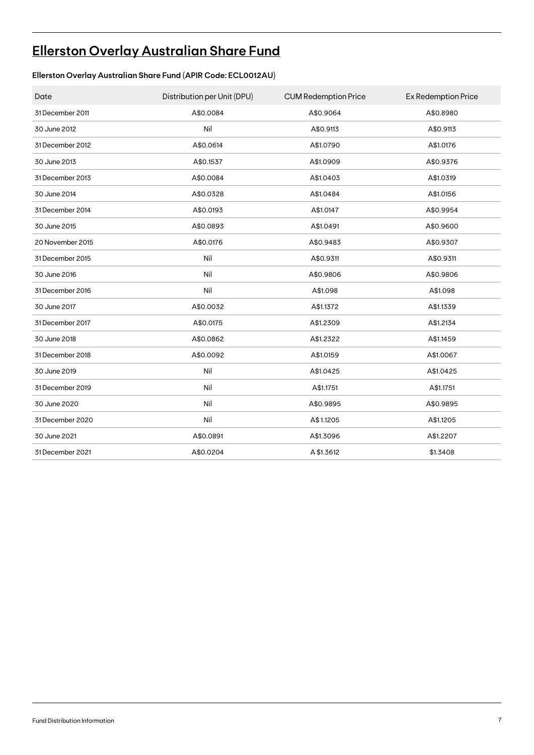# **[Ellerston Overlay Australian Share Fund](https://ellerstoncapital.com/funds/overlay-australian-share-fund/)**

### **Ellerston Overlay Australian Share Fund (APIR Code: ECL0012AU)**

| Date             | Distribution per Unit (DPU) | <b>CUM Redemption Price</b> | <b>Ex Redemption Price</b> |
|------------------|-----------------------------|-----------------------------|----------------------------|
| 31 December 2011 | A\$0.0084                   | A\$0.9064                   | A\$0.8980                  |
| 30 June 2012     | Nil                         | A\$0.9113                   | A\$0.9113                  |
| 31 December 2012 | A\$0.0614                   | A\$1.0790                   | A\$1.0176                  |
| 30 June 2013     | A\$0.1537                   | A\$1.0909                   | A\$0.9376                  |
| 31 December 2013 | A\$0.0084                   | A\$1.0403                   | A\$1.0319                  |
| 30 June 2014     | A\$0.0328                   | A\$1.0484                   | A\$1.0156                  |
| 31 December 2014 | A\$0.0193                   | A\$1.0147                   | A\$0.9954                  |
| 30 June 2015     | A\$0.0893                   | A\$1.0491                   | A\$0.9600                  |
| 20 November 2015 | A\$0.0176                   | A\$0.9483                   | A\$0.9307                  |
| 31 December 2015 | Nil                         | A\$0.9311                   | A\$0.9311                  |
| 30 June 2016     | Nil                         | A\$0.9806                   | A\$0.9806                  |
| 31 December 2016 | Nil                         | A\$1.098                    | A\$1.098                   |
| 30 June 2017     | A\$0.0032                   | A\$1.1372                   | A\$1.1339                  |
| 31 December 2017 | A\$0.0175                   | A\$1.2309                   | A\$1.2134                  |
| 30 June 2018     | A\$0.0862                   | A\$1.2322                   | A\$1.1459                  |
| 31 December 2018 | A\$0.0092                   | A\$1.0159                   | A\$1.0067                  |
| 30 June 2019     | Nil                         | A\$1.0425                   | A\$1.0425                  |
| 31 December 2019 | Nil                         | A\$1.1751                   | A\$1.1751                  |
| 30 June 2020     | Nil                         | A\$0.9895                   | A\$0.9895                  |
| 31 December 2020 | Nil                         | A\$1.1205                   | A\$1.1205                  |
| 30 June 2021     | A\$0.0891                   | A\$1.3096                   | A\$1.2207                  |
| 31 December 2021 | A\$0.0204                   | A \$1.3612                  | \$1.3408                   |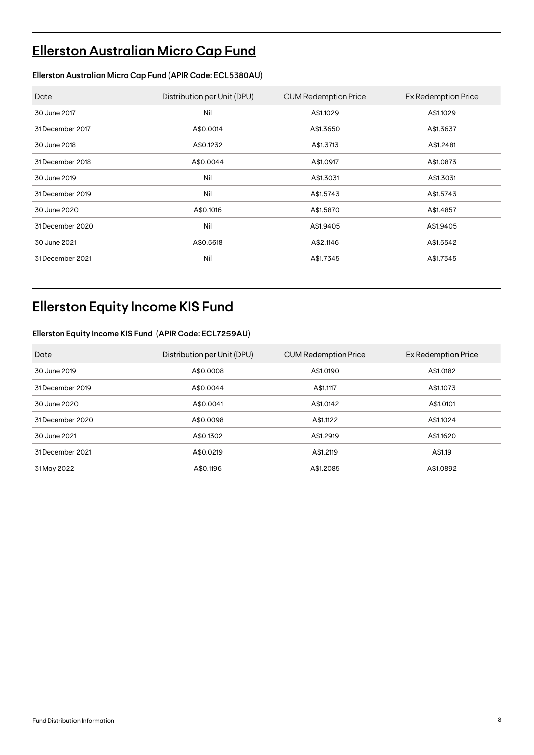# **[Ellerston Australian Micro Cap Fund](https://ellerstoncapital.com/funds/australian-micro-cap-fund/)**

#### **Ellerston Australian Micro Cap Fund (APIR Code: ECL5380AU)**

| Date             | Distribution per Unit (DPU) | <b>CUM Redemption Price</b> | Ex Redemption Price |
|------------------|-----------------------------|-----------------------------|---------------------|
| 30 June 2017     | Nil                         | A\$1.1029                   | A\$1.1029           |
| 31 December 2017 | A\$0.0014                   | A\$1.3650                   | A\$1.3637           |
| 30 June 2018     | A\$0.1232                   | A\$1.3713                   | A\$1.2481           |
| 31 December 2018 | A\$0.0044                   | A\$1.0917                   | A\$1.0873           |
| 30 June 2019     | Nil                         | A\$1.3031                   | A\$1.3031           |
| 31 December 2019 | Nil                         | A\$1.5743                   | A\$1.5743           |
| 30 June 2020     | A\$0.1016                   | A\$1.5870                   | A\$1.4857           |
| 31 December 2020 | Nil                         | A\$1.9405                   | A\$1.9405           |
| 30 June 2021     | A\$0.5618                   | A\$2.1146                   | A\$1.5542           |
| 31 December 2021 | Nil                         | A\$1.7345                   | A\$1.7345           |

### **Ellerston Equity Income KIS Fund**

#### **Ellerston Equity Income KIS Fund (APIR Code: ECL7259AU)**

| Date             | Distribution per Unit (DPU) | <b>CUM Redemption Price</b> | Ex Redemption Price |
|------------------|-----------------------------|-----------------------------|---------------------|
| 30 June 2019     | A\$0,0008                   | A\$1,0190                   | A\$1,0182           |
| 31 December 2019 | A\$0.0044                   | A\$1.1117                   | A\$1.1073           |
| 30 June 2020     | A\$0.0041                   | A\$1,0142                   | A\$1,0101           |
| 31 December 2020 | A\$0,0098                   | A\$1.1122                   | A\$1.1024           |
| 30 June 2021     | A\$0.1302                   | A\$1.2919                   | A\$1.1620           |
| 31 December 2021 | A\$0.0219                   | A\$1,2119                   | A\$1.19             |
| 31 May 2022      | A\$0.1196                   | A\$1,2085                   | A\$1,0892           |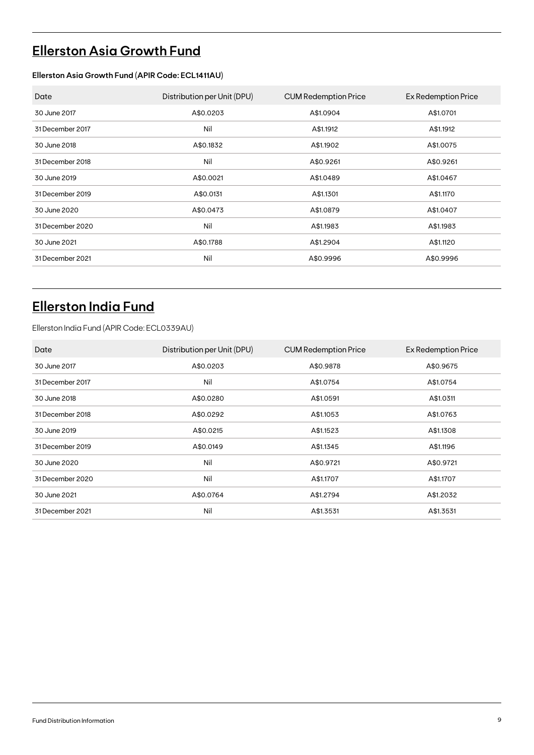# **[Ellerston Asia Growth Fund](https://ellerstoncapital.com/funds/asia-growth-fund/)**

#### **Ellerston Asia Growth Fund (APIR Code: ECL1411AU)**

| Date             | Distribution per Unit (DPU) | <b>CUM Redemption Price</b> | Ex Redemption Price |
|------------------|-----------------------------|-----------------------------|---------------------|
| 30 June 2017     | A\$0.0203                   | A\$1.0904                   | A\$1.0701           |
| 31 December 2017 | Nil                         | A\$1.1912                   | A\$1.1912           |
| 30 June 2018     | A\$0.1832                   | A\$1.1902                   | A\$1.0075           |
| 31 December 2018 | Nil                         | A\$0.9261                   | A\$0.9261           |
| 30 June 2019     | A\$0.0021                   | A\$1.0489                   | A\$1.0467           |
| 31 December 2019 | A\$0.0131                   | A\$1.1301                   | A\$1.1170           |
| 30 June 2020     | A\$0.0473                   | A\$1,0879                   | A\$1.0407           |
| 31 December 2020 | Nil                         | A\$1.1983                   | A\$1.1983           |
| 30 June 2021     | A\$0.1788                   | A\$1.2904                   | A\$1.1120           |
| 31 December 2021 | Nil                         | A\$0.9996                   | A\$0.9996           |

### **[Ellerston India Fund](https://ellerstoncapital.com/funds/india-fund/)**

Ellerston India Fund (APIR Code: ECL0339AU)

| Date             | Distribution per Unit (DPU) | <b>CUM Redemption Price</b> | Ex Redemption Price |
|------------------|-----------------------------|-----------------------------|---------------------|
| 30 June 2017     | A\$0.0203                   | A\$0.9878                   | A\$0.9675           |
| 31 December 2017 | Nil                         | A\$1.0754                   | A\$1.0754           |
| 30 June 2018     | A\$0.0280                   | A\$1.0591                   | A\$1.0311           |
| 31 December 2018 | A\$0.0292                   | A\$1.1053                   | A\$1.0763           |
| 30 June 2019     | A\$0.0215                   | A\$1.1523                   | A\$1.1308           |
| 31 December 2019 | A\$0.0149                   | A\$1.1345                   | A\$1.1196           |
| 30 June 2020     | Nil                         | A\$0.9721                   | A\$0.9721           |
| 31 December 2020 | Nil                         | A\$1.1707                   | A\$1.1707           |
| 30 June 2021     | A\$0.0764                   | A\$1.2794                   | A\$1.2032           |
| 31 December 2021 | Nil                         | A\$1.3531                   | A\$1.3531           |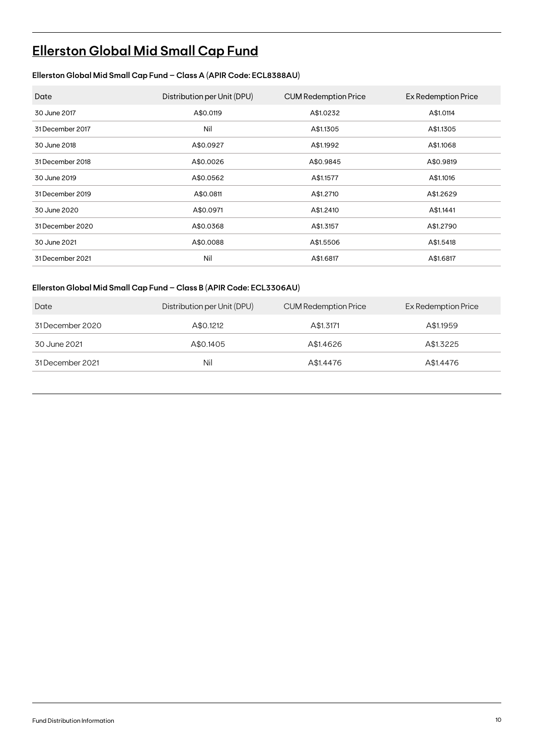# **[Ellerston Global Mid Small Cap Fund](https://ellerstoncapital.com/funds/global-mid-small-cap-fund/)**

### **Ellerston Global Mid Small Cap Fund – Class A (APIR Code: ECL8388AU)**

| Date             | Distribution per Unit (DPU) | <b>CUM Redemption Price</b> | Ex Redemption Price |
|------------------|-----------------------------|-----------------------------|---------------------|
| 30 June 2017     | A\$0.0119                   | A\$1.0232                   | A\$1.0114           |
| 31 December 2017 | Nil                         | A\$1.1305                   | A\$1.1305           |
| 30 June 2018     | A\$0.0927                   | A\$1.1992                   | A\$1.1068           |
| 31 December 2018 | A\$0.0026                   | A\$0.9845                   | A\$0.9819           |
| 30 June 2019     | A\$0.0562                   | A\$1.1577                   | A\$1.1016           |
| 31 December 2019 | A\$0.0811                   | A\$1.2710                   | A\$1.2629           |
| 30 June 2020     | A\$0.0971                   | A\$1.2410                   | A\$1.1441           |
| 31 December 2020 | A\$0.0368                   | A\$1.3157                   | A\$1.2790           |
| 30 June 2021     | A\$0.0088                   | A\$1.5506                   | A\$1.5418           |
| 31 December 2021 | Nil                         | A\$1.6817                   | A\$1.6817           |

#### **Ellerston Global Mid Small Cap Fund – Class B (APIR Code: ECL3306AU)**

| Date             | Distribution per Unit (DPU) | CUM Redemption Price | Ex Redemption Price |
|------------------|-----------------------------|----------------------|---------------------|
| 31 December 2020 | A\$0.1212                   | A\$1.3171            | A\$1.1959           |
| 30 June 2021     | A\$0.1405                   | A\$1,4626            | A\$1.3225           |
| 31 December 2021 | Nil                         | A\$1.4476            | A\$1.4476           |